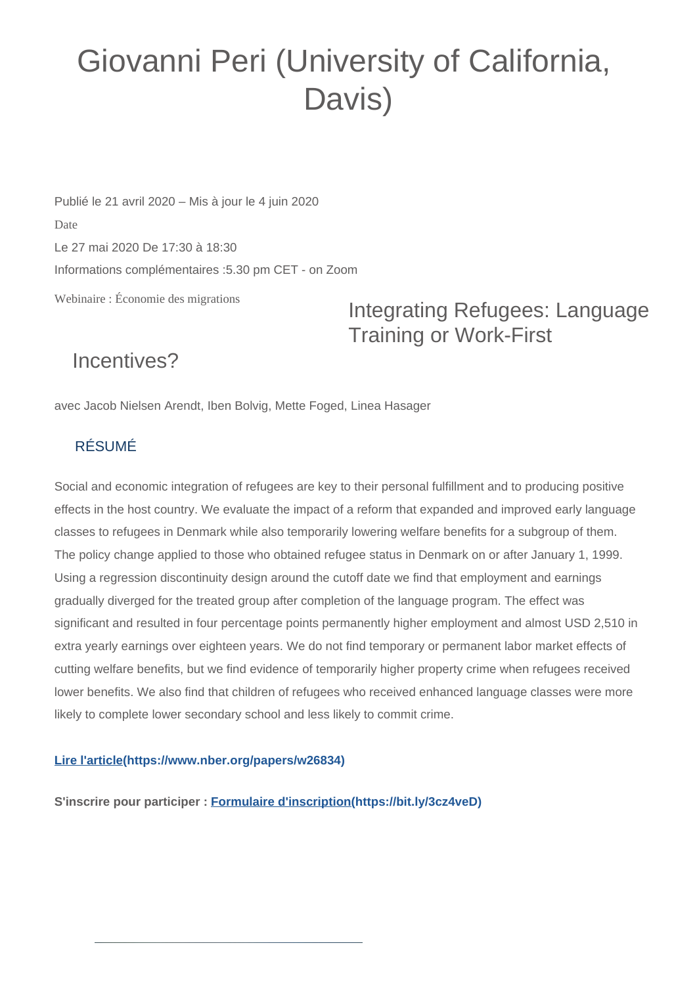## Giovanni Peri (University of California, Davis)

Webinaire : Économie des migrations Publié le 21 avril 2020 – Mis à jour le 4 juin 2020 Date Le 27 mai 2020 De 17:30 à 18:30 Informations complémentaires :5.30 pm CET - on Zoom

Integrating Refugees: Language Training or Work-First

## Incentives?

avec Jacob Nielsen Arendt, Iben Bolvig, Mette Foged, Linea Hasager

## RÉSUMÉ

Social and economic integration of refugees are key to their personal fulfillment and to producing positive effects in the host country. We evaluate the impact of a reform that expanded and improved early language classes to refugees in Denmark while also temporarily lowering welfare benefits for a subgroup of them. The policy change applied to those who obtained refugee status in Denmark on or after January 1, 1999. Using a regression discontinuity design around the cutoff date we find that employment and earnings gradually diverged for the treated group after completion of the language program. The effect was significant and resulted in four percentage points permanently higher employment and almost USD 2,510 in extra yearly earnings over eighteen years. We do not find temporary or permanent labor market effects of cutting welfare benefits, but we find evidence of temporarily higher property crime when refugees received lower benefits. We also find that children of refugees who received enhanced language classes were more likely to complete lower secondary school and less likely to commit crime.

## **[Lire l'article\(https://www.nber.org/papers/w26834\)](https://www.nber.org/papers/w26834)**

**S'inscrire pour participer : [Formulaire d'inscription\(https://bit.ly/3cz4veD\)](https://bit.ly/3cz4veD)**